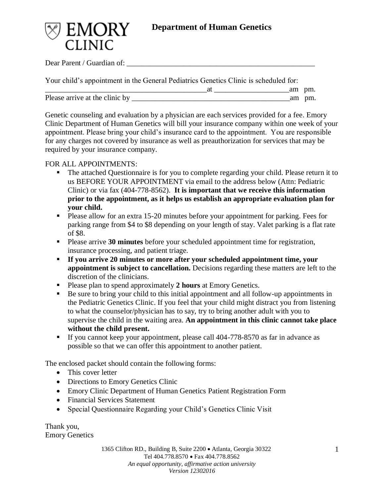

Dear Parent / Guardian of:

|                                | Your child's appointment in the General Pediatrics Genetics Clinic is scheduled for: |        |
|--------------------------------|--------------------------------------------------------------------------------------|--------|
|                                |                                                                                      | am pm. |
| Please arrive at the clinic by |                                                                                      | am pm. |

Genetic counseling and evaluation by a physician are each services provided for a fee. Emory Clinic Department of Human Genetics will bill your insurance company within one week of your appointment. Please bring your child's insurance card to the appointment. You are responsible for any charges not covered by insurance as well as preauthorization for services that may be required by your insurance company.

# FOR ALL APPOINTMENTS:

- The attached Questionnaire is for you to complete regarding your child. Please return it to us BEFORE YOUR APPOINTMENT via email to the address below (Attn: Pediatric Clinic) or via fax (404-778-8562). **It is important that we receive this information prior to the appointment, as it helps us establish an appropriate evaluation plan for your child.**
- Please allow for an extra 15-20 minutes before your appointment for parking. Fees for parking range from \$4 to \$8 depending on your length of stay. Valet parking is a flat rate of \$8.
- Please arrive 30 minutes before your scheduled appointment time for registration, insurance processing, and patient triage.
- **If you arrive 20 minutes or more after your scheduled appointment time, your appointment is subject to cancellation.** Decisions regarding these matters are left to the discretion of the clinicians.
- Please plan to spend approximately **2 hours** at Emory Genetics.
- Be sure to bring your child to this initial appointment and all follow-up appointments in the Pediatric Genetics Clinic. If you feel that your child might distract you from listening to what the counselor/physician has to say, try to bring another adult with you to supervise the child in the waiting area. **An appointment in this clinic cannot take place without the child present.**
- **If you cannot keep your appointment, please call 404-778-8570 as far in advance as** possible so that we can offer this appointment to another patient.

The enclosed packet should contain the following forms:

- This cover letter
- Directions to Emory Genetics Clinic
- Emory Clinic Department of Human Genetics Patient Registration Form
- Financial Services Statement
- Special Questionnaire Regarding your Child's Genetics Clinic Visit

Thank you, Emory Genetics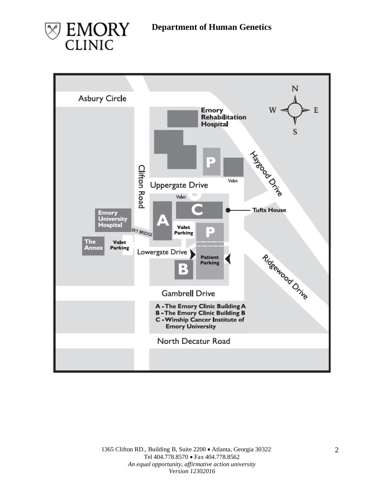



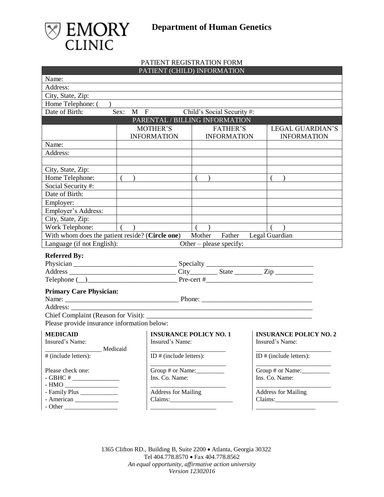



### PATIENT REGISTRATION FORM PATIENT (CHILD) INFORMATION

| Name:                                                                                                                                                                                                                                                                                                                                                                                                                                                                                                                                      |                  |                                                                |                                |                                                  |  |
|--------------------------------------------------------------------------------------------------------------------------------------------------------------------------------------------------------------------------------------------------------------------------------------------------------------------------------------------------------------------------------------------------------------------------------------------------------------------------------------------------------------------------------------------|------------------|----------------------------------------------------------------|--------------------------------|--------------------------------------------------|--|
| Address:                                                                                                                                                                                                                                                                                                                                                                                                                                                                                                                                   |                  |                                                                |                                |                                                  |  |
| City, State, Zip:                                                                                                                                                                                                                                                                                                                                                                                                                                                                                                                          |                  |                                                                |                                |                                                  |  |
| Home Telephone: (                                                                                                                                                                                                                                                                                                                                                                                                                                                                                                                          |                  |                                                                |                                |                                                  |  |
| Date of Birth:                                                                                                                                                                                                                                                                                                                                                                                                                                                                                                                             | Sex:             | $\overline{M}$ F                                               | Child's Social Security#:      |                                                  |  |
|                                                                                                                                                                                                                                                                                                                                                                                                                                                                                                                                            |                  |                                                                | PARENTAL / BILLING INFORMATION |                                                  |  |
|                                                                                                                                                                                                                                                                                                                                                                                                                                                                                                                                            |                  | <b>MOTHER'S</b>                                                | <b>FATHER'S</b>                | <b>LEGAL GUARDIAN'S</b>                          |  |
|                                                                                                                                                                                                                                                                                                                                                                                                                                                                                                                                            |                  | <b>INFORMATION</b>                                             | <b>INFORMATION</b>             | <b>INFORMATION</b>                               |  |
| Name:                                                                                                                                                                                                                                                                                                                                                                                                                                                                                                                                      |                  |                                                                |                                |                                                  |  |
| Address:                                                                                                                                                                                                                                                                                                                                                                                                                                                                                                                                   |                  |                                                                |                                |                                                  |  |
|                                                                                                                                                                                                                                                                                                                                                                                                                                                                                                                                            |                  |                                                                |                                |                                                  |  |
| City, State, Zip:                                                                                                                                                                                                                                                                                                                                                                                                                                                                                                                          |                  |                                                                |                                |                                                  |  |
| Home Telephone:                                                                                                                                                                                                                                                                                                                                                                                                                                                                                                                            |                  |                                                                |                                |                                                  |  |
| Social Security #:                                                                                                                                                                                                                                                                                                                                                                                                                                                                                                                         |                  |                                                                |                                |                                                  |  |
| Date of Birth:                                                                                                                                                                                                                                                                                                                                                                                                                                                                                                                             |                  |                                                                |                                |                                                  |  |
| Employer:                                                                                                                                                                                                                                                                                                                                                                                                                                                                                                                                  |                  |                                                                |                                |                                                  |  |
| Employer's Address:                                                                                                                                                                                                                                                                                                                                                                                                                                                                                                                        |                  |                                                                |                                |                                                  |  |
| City, State, Zip:                                                                                                                                                                                                                                                                                                                                                                                                                                                                                                                          |                  |                                                                |                                |                                                  |  |
| Work Telephone:                                                                                                                                                                                                                                                                                                                                                                                                                                                                                                                            | $\overline{(\ }$ |                                                                | $\left($<br>$\rightarrow$      |                                                  |  |
| With whom does the patient reside? (Circle one)                                                                                                                                                                                                                                                                                                                                                                                                                                                                                            |                  |                                                                | Mother Father Legal Guardian   |                                                  |  |
| Language (if not English):                                                                                                                                                                                                                                                                                                                                                                                                                                                                                                                 |                  |                                                                | Other – please specify:        |                                                  |  |
| <b>Referred By:</b>                                                                                                                                                                                                                                                                                                                                                                                                                                                                                                                        |                  |                                                                |                                |                                                  |  |
|                                                                                                                                                                                                                                                                                                                                                                                                                                                                                                                                            |                  |                                                                |                                |                                                  |  |
|                                                                                                                                                                                                                                                                                                                                                                                                                                                                                                                                            |                  |                                                                |                                |                                                  |  |
| Telephone $(\_)$                                                                                                                                                                                                                                                                                                                                                                                                                                                                                                                           |                  |                                                                |                                |                                                  |  |
| <b>Primary Care Physician:</b>                                                                                                                                                                                                                                                                                                                                                                                                                                                                                                             |                  |                                                                |                                |                                                  |  |
|                                                                                                                                                                                                                                                                                                                                                                                                                                                                                                                                            |                  |                                                                |                                |                                                  |  |
| Address:                                                                                                                                                                                                                                                                                                                                                                                                                                                                                                                                   |                  |                                                                |                                |                                                  |  |
| Chief Complaint (Reason for Visit):                                                                                                                                                                                                                                                                                                                                                                                                                                                                                                        |                  | <u> 1980 - Johann Barn, mars an t-Amerikaansk ferskeider (</u> |                                |                                                  |  |
| Please provide insurance information below:                                                                                                                                                                                                                                                                                                                                                                                                                                                                                                |                  |                                                                |                                |                                                  |  |
|                                                                                                                                                                                                                                                                                                                                                                                                                                                                                                                                            |                  |                                                                |                                |                                                  |  |
| <b>MEDICAID</b><br>Insured's Name:                                                                                                                                                                                                                                                                                                                                                                                                                                                                                                         |                  | Insured's Name:                                                | <b>INSURANCE POLICY NO. 1</b>  | <b>INSURANCE POLICY NO. 2</b><br>Insured's Name: |  |
| Medicaid                                                                                                                                                                                                                                                                                                                                                                                                                                                                                                                                   |                  |                                                                |                                |                                                  |  |
| # (include letters):                                                                                                                                                                                                                                                                                                                                                                                                                                                                                                                       |                  | ID # (include letters):                                        |                                | ID # (include letters):                          |  |
|                                                                                                                                                                                                                                                                                                                                                                                                                                                                                                                                            |                  |                                                                |                                |                                                  |  |
| Please check one:                                                                                                                                                                                                                                                                                                                                                                                                                                                                                                                          |                  | Group # or Name:                                               |                                | Group # or Name:                                 |  |
| - GBHC # $\_$                                                                                                                                                                                                                                                                                                                                                                                                                                                                                                                              |                  | Ins. Co. Name:                                                 |                                | Ins. Co. Name:                                   |  |
| $\begin{tabular}{c} - HMO \begin{tabular}{@{}c@{}} \quad \quad \quad & \quad \quad & \quad \quad \\ \hline \end{tabular} \end{tabular} \end{tabular} \begin{tabular}{c} \hline \end{tabular} \end{tabular} \begin{tabular}{c} \hline \end{tabular} \end{tabular} \begin{tabular}{c} \hline \end{tabular} \end{tabular} \begin{tabular}{c} \hline \end{tabular} \end{tabular} \begin{tabular}{c} \hline \end{tabular} \end{tabular} \begin{tabular}{c} \hline \end{tabular} \end{tabular} \begin{tabular}{c} \hline \end{tabular} \end{tab$ |                  |                                                                |                                |                                                  |  |
| - Family Plus _____________                                                                                                                                                                                                                                                                                                                                                                                                                                                                                                                |                  | <b>Address for Mailing</b>                                     |                                | <b>Address for Mailing</b>                       |  |
| - American                                                                                                                                                                                                                                                                                                                                                                                                                                                                                                                                 |                  |                                                                |                                |                                                  |  |
|                                                                                                                                                                                                                                                                                                                                                                                                                                                                                                                                            |                  |                                                                |                                |                                                  |  |

1365 Clifton RD., Building B, Suite 2200 • Atlanta, Georgia 30322 Tel 404.778.8570 • Fax 404.778.8562 *An equal opportunity, affirmative action university Version 12302016*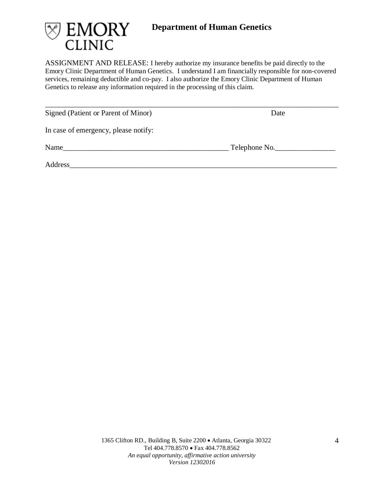

ASSIGNMENT AND RELEASE: I hereby authorize my insurance benefits be paid directly to the Emory Clinic Department of Human Genetics. I understand I am financially responsible for non-covered services, remaining deductible and co-pay. I also authorize the Emory Clinic Department of Human Genetics to release any information required in the processing of this claim.

\_\_\_\_\_\_\_\_\_\_\_\_\_\_\_\_\_\_\_\_\_\_\_\_\_\_\_\_\_\_\_\_\_\_\_\_\_\_\_\_\_\_\_\_\_\_\_\_\_\_\_\_\_\_\_\_\_\_\_\_\_\_\_\_\_\_\_\_\_\_\_\_\_\_\_\_\_\_

Signed (Patient or Parent of Minor) Date

In case of emergency, please notify:

Name\_\_\_\_\_\_\_\_\_\_\_\_\_\_\_\_\_\_\_\_\_\_\_\_\_\_\_\_\_\_\_\_\_\_\_\_\_\_\_\_\_\_\_\_ Telephone No.\_\_\_\_\_\_\_\_\_\_\_\_\_\_\_\_

Address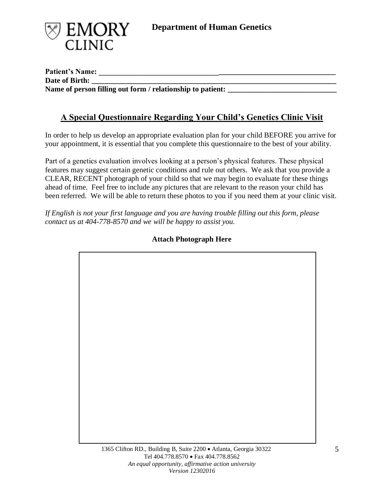

**Patient's Name: \_\_\_\_\_\_\_\_\_\_\_\_\_\_\_\_\_\_\_\_\_\_\_\_\_\_\_\_\_\_\_\_\_\_\_\_\_\_\_\_\_\_\_\_\_\_\_\_\_\_\_\_\_\_\_\_\_\_\_\_\_\_\_** Date of Birth: Name of person filling out form / relationship to patient:

# **A Special Questionnaire Regarding Your Child's Genetics Clinic Visit**

In order to help us develop an appropriate evaluation plan for your child BEFORE you arrive for your appointment, it is essential that you complete this questionnaire to the best of your ability.

Part of a genetics evaluation involves looking at a person's physical features. These physical features may suggest certain genetic conditions and rule out others. We ask that you provide a CLEAR, RECENT photograph of your child so that we may begin to evaluate for these things ahead of time. Feel free to include any pictures that are relevant to the reason your child has been referred. We will be able to return these photos to you if you need them at your clinic visit.

*If English is not your first language and you are having trouble filling out this form, please contact us at 404-778-8570 and we will be happy to assist you.*

# 1365 Clifton RD., Building B, Suite 2200 • Atlanta, Georgia 30322

# **Attach Photograph Here**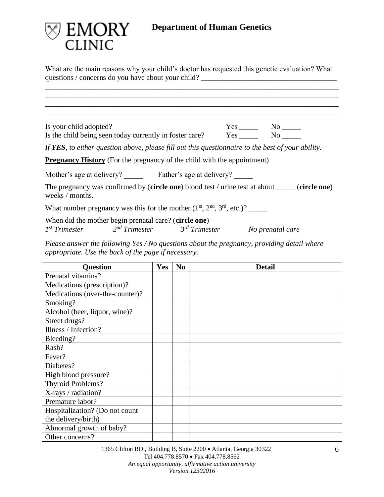

What are the main reasons why your child's doctor has requested this genetic evaluation? What questions / concerns do you have about your child? \_\_\_\_\_\_\_\_\_\_\_\_\_\_\_\_\_\_\_\_\_\_\_\_\_\_\_\_\_\_

\_\_\_\_\_\_\_\_\_\_\_\_\_\_\_\_\_\_\_\_\_\_\_\_\_\_\_\_\_\_\_\_\_\_\_\_\_\_\_\_\_\_\_\_\_\_\_\_\_\_\_\_\_\_\_\_\_\_\_\_\_\_\_\_\_\_\_\_\_\_\_\_\_\_\_\_\_\_ \_\_\_\_\_\_\_\_\_\_\_\_\_\_\_\_\_\_\_\_\_\_\_\_\_\_\_\_\_\_\_\_\_\_\_\_\_\_\_\_\_\_\_\_\_\_\_\_\_\_\_\_\_\_\_\_\_\_\_\_\_\_\_\_\_\_\_\_\_\_\_\_\_\_\_\_\_\_ \_\_\_\_\_\_\_\_\_\_\_\_\_\_\_\_\_\_\_\_\_\_\_\_\_\_\_\_\_\_\_\_\_\_\_\_\_\_\_\_\_\_\_\_\_\_\_\_\_\_\_\_\_\_\_\_\_\_\_\_\_\_\_\_\_\_\_\_\_\_\_\_\_\_\_\_\_\_ \_\_\_\_\_\_\_\_\_\_\_\_\_\_\_\_\_\_\_\_\_\_\_\_\_\_\_\_\_\_\_\_\_\_\_\_\_\_\_\_\_\_\_\_\_\_\_\_\_\_\_\_\_\_\_\_\_\_\_\_\_\_\_\_\_\_\_\_\_\_\_\_\_\_\_\_\_\_

Is your child adopted? Yes \_\_\_\_\_ No \_\_\_\_\_ Is the child being seen today currently in foster care? Yes No

*If YES, to either question above, please fill out this questionnaire to the best of your ability.*

**Pregnancy History** (For the pregnancy of the child with the appointment)

Mother's age at delivery? \_\_\_\_\_\_ Father's age at delivery? \_\_\_\_\_

The pregnancy was confirmed by (**circle one**) blood test / urine test at about \_\_\_\_\_ (**circle one**) weeks / months.

What number pregnancy was this for the mother  $(1<sup>st</sup>, 2<sup>nd</sup>, 3<sup>rd</sup>, etc.)$ ?

When did the mother begin prenatal care? (**circle one**) *rd Trimester No prenatal care*

*1 st Trimester 2 nd Trimester 3*

*Please answer the following Yes / No questions about the pregnancy, providing detail where appropriate. Use the back of the page if necessary.*

| <b>Question</b>                 | <b>Yes</b> | N <sub>0</sub> | <b>Detail</b> |
|---------------------------------|------------|----------------|---------------|
| Prenatal vitamins?              |            |                |               |
| Medications (prescription)?     |            |                |               |
| Medications (over-the-counter)? |            |                |               |
| Smoking?                        |            |                |               |
| Alcohol (beer, liquor, wine)?   |            |                |               |
| Street drugs?                   |            |                |               |
| Illness / Infection?            |            |                |               |
| Bleeding?                       |            |                |               |
| Rash?                           |            |                |               |
| Fever?                          |            |                |               |
| Diabetes?                       |            |                |               |
| High blood pressure?            |            |                |               |
| Thyroid Problems?               |            |                |               |
| X-rays / radiation?             |            |                |               |
| Premature labor?                |            |                |               |
| Hospitalization? (Do not count  |            |                |               |
| the delivery/birth)             |            |                |               |
| Abnormal growth of baby?        |            |                |               |
| Other concerns?                 |            |                |               |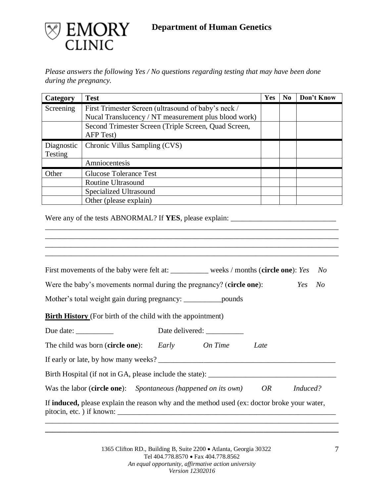

*Please answers the following Yes / No questions regarding testing that may have been done during the pregnancy.*

| Category   | <b>Test</b>                                          | Yes | N <sub>0</sub> | Don't Know |
|------------|------------------------------------------------------|-----|----------------|------------|
| Screening  | First Trimester Screen (ultrasound of baby's neck /  |     |                |            |
|            | Nucal Translucency / NT measurement plus blood work) |     |                |            |
|            | Second Trimester Screen (Triple Screen, Quad Screen, |     |                |            |
|            | AFP Test)                                            |     |                |            |
| Diagnostic | Chronic Villus Sampling (CVS)                        |     |                |            |
| Testing    |                                                      |     |                |            |
|            | Amniocentesis                                        |     |                |            |
| Other      | <b>Glucose Tolerance Test</b>                        |     |                |            |
|            | Routine Ultrasound                                   |     |                |            |
|            | Specialized Ultrasound                               |     |                |            |
|            | Other (please explain)                               |     |                |            |

\_\_\_\_\_\_\_\_\_\_\_\_\_\_\_\_\_\_\_\_\_\_\_\_\_\_\_\_\_\_\_\_\_\_\_\_\_\_\_\_\_\_\_\_\_\_\_\_\_\_\_\_\_\_\_\_\_\_\_\_\_\_\_\_\_\_\_\_\_\_\_\_\_\_\_\_\_\_ \_\_\_\_\_\_\_\_\_\_\_\_\_\_\_\_\_\_\_\_\_\_\_\_\_\_\_\_\_\_\_\_\_\_\_\_\_\_\_\_\_\_\_\_\_\_\_\_\_\_\_\_\_\_\_\_\_\_\_\_\_\_\_\_\_\_\_\_\_\_\_\_\_\_\_\_\_\_

\_\_\_\_\_\_\_\_\_\_\_\_\_\_\_\_\_\_\_\_\_\_\_\_\_\_\_\_\_\_\_\_\_\_\_\_\_\_\_\_\_\_\_\_\_\_\_\_\_\_\_\_\_\_\_\_\_\_\_\_\_\_\_\_\_\_\_\_\_\_\_\_\_\_\_\_\_\_

Were any of the tests ABNORMAL? If **YES**, please explain: \_\_\_\_\_\_\_\_\_\_\_\_\_\_\_\_\_\_\_\_\_\_\_\_\_\_\_\_

| First movements of the baby were felt at: __________ weeks / months (circle one): Yes               |  |      | No.        |
|-----------------------------------------------------------------------------------------------------|--|------|------------|
| Were the baby's movements normal during the pregnancy? (circle one):                                |  |      | Yes<br>No. |
| Mother's total weight gain during pregnancy: ____________________pounds                             |  |      |            |
| <b>Birth History</b> (For birth of the child with the appointment)                                  |  |      |            |
| Due date:                                                                                           |  |      |            |
| The child was born ( <b>circle one</b> ): <i>Early On Time</i>                                      |  | Late |            |
|                                                                                                     |  |      |            |
|                                                                                                     |  |      |            |
| Was the labor ( <b>circle one</b> ): <i>Spontaneous (happened on its own)</i>                       |  | OR   | Induced?   |
| If <b>induced</b> , please explain the reason why and the method used (ex: doctor broke your water, |  |      |            |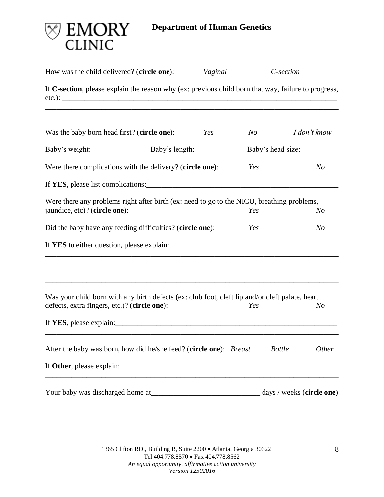

| How was the child delivered? (circle one):                                                                                                      | Vaginal        |     | C-section                 |
|-------------------------------------------------------------------------------------------------------------------------------------------------|----------------|-----|---------------------------|
| If C-section, please explain the reason why (ex: previous child born that way, failure to progress,                                             |                |     |                           |
| Was the baby born head first? (circle one):                                                                                                     | Yes            | N o | I don't know              |
| Baby's weight:                                                                                                                                  | Baby's length: |     | Baby's head size:         |
| Were there complications with the delivery? (circle one):                                                                                       |                | Yes | N <sub>O</sub>            |
| If YES, please list complications:                                                                                                              |                |     |                           |
| Were there any problems right after birth (ex: need to go to the NICU, breathing problems,<br>jaundice, etc)? (circle one):                     |                | Yes | N <sub>O</sub>            |
| Did the baby have any feeding difficulties? (circle one):                                                                                       |                | Yes | N <sub>O</sub>            |
| If YES to either question, please explain:                                                                                                      |                |     |                           |
| Was your child born with any birth defects (ex: club foot, cleft lip and/or cleft palate, heart<br>defects, extra fingers, etc.)? (circle one): |                | Yes | N <sub>O</sub>            |
|                                                                                                                                                 |                |     |                           |
| After the baby was born, how did he/she feed? (circle one): Breast                                                                              |                |     | <b>Bottle</b><br>Other    |
|                                                                                                                                                 |                |     |                           |
|                                                                                                                                                 |                |     | days / weeks (circle one) |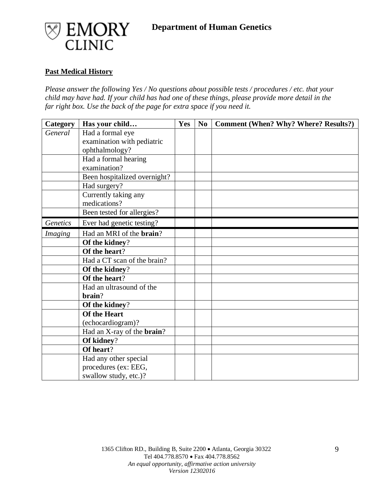



### **Past Medical History**

*Please answer the following Yes / No questions about possible tests / procedures / etc. that your child may have had. If your child has had one of these things, please provide more detail in the far right box. Use the back of the page for extra space if you need it.* 

| Category | Has your child                     | Yes | N <sub>0</sub> | <b>Comment (When? Why? Where? Results?)</b> |
|----------|------------------------------------|-----|----------------|---------------------------------------------|
| General  | Had a formal eye                   |     |                |                                             |
|          | examination with pediatric         |     |                |                                             |
|          | ophthalmology?                     |     |                |                                             |
|          | Had a formal hearing               |     |                |                                             |
|          | examination?                       |     |                |                                             |
|          | Been hospitalized overnight?       |     |                |                                             |
|          | Had surgery?                       |     |                |                                             |
|          | Currently taking any               |     |                |                                             |
|          | medications?                       |     |                |                                             |
|          | Been tested for allergies?         |     |                |                                             |
| Genetics | Ever had genetic testing?          |     |                |                                             |
| Imaging  | Had an MRI of the <b>brain</b> ?   |     |                |                                             |
|          | Of the kidney?                     |     |                |                                             |
|          | Of the heart?                      |     |                |                                             |
|          | Had a CT scan of the brain?        |     |                |                                             |
|          | Of the kidney?                     |     |                |                                             |
|          | Of the heart?                      |     |                |                                             |
|          | Had an ultrasound of the           |     |                |                                             |
|          | brain?                             |     |                |                                             |
|          | Of the kidney?                     |     |                |                                             |
|          | <b>Of the Heart</b>                |     |                |                                             |
|          | (echocardiogram)?                  |     |                |                                             |
|          | Had an X-ray of the <b>brain</b> ? |     |                |                                             |
|          | Of kidney?                         |     |                |                                             |
|          | Of heart?                          |     |                |                                             |
|          | Had any other special              |     |                |                                             |
|          | procedures (ex: EEG,               |     |                |                                             |
|          | swallow study, etc.)?              |     |                |                                             |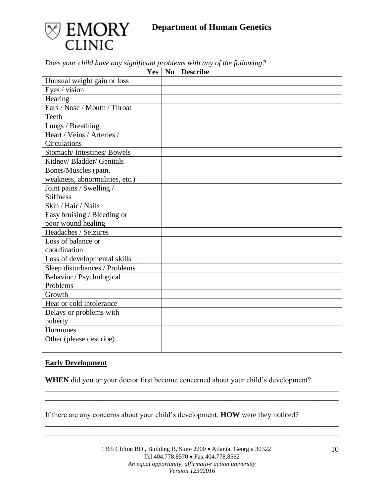

| Does your chila have any significant problems with any of the following: | Yes | No Describe |
|--------------------------------------------------------------------------|-----|-------------|
| Unusual weight gain or loss                                              |     |             |
| Eyes / vision                                                            |     |             |
| Hearing                                                                  |     |             |
| Ears / Nose / Mouth / Throat                                             |     |             |
| Teeth                                                                    |     |             |
| Lungs / Breathing                                                        |     |             |
| Heart / Veins / Arteries /                                               |     |             |
| Circulations                                                             |     |             |
| Stomach/Intestines/Bowels                                                |     |             |
| Kidney/ Bladder/ Genitals                                                |     |             |
| Bones/Muscles (pain,                                                     |     |             |
| weakness, abnormalities, etc.)                                           |     |             |
| Joint pains / Swelling /                                                 |     |             |
| <b>Stiffness</b>                                                         |     |             |
| Skin / Hair / Nails                                                      |     |             |
| Easy bruising / Bleeding or                                              |     |             |
| poor wound healing                                                       |     |             |
| Headaches / Seizures                                                     |     |             |
| Loss of balance or                                                       |     |             |
| coordination                                                             |     |             |
| Loss of developmental skills                                             |     |             |
| Sleep disturbances / Problems                                            |     |             |
| Behavior / Psychological                                                 |     |             |
| Problems                                                                 |     |             |
| Growth                                                                   |     |             |
| Heat or cold intolerance                                                 |     |             |
| Delays or problems with                                                  |     |             |
| puberty                                                                  |     |             |
| Hormones                                                                 |     |             |
| Other (please describe)                                                  |     |             |
|                                                                          |     |             |

*Does your child have any significant problems with any of the following?*

# **Early Development**

**WHEN** did you or your doctor first become concerned about your child's development?

\_\_\_\_\_\_\_\_\_\_\_\_\_\_\_\_\_\_\_\_\_\_\_\_\_\_\_\_\_\_\_\_\_\_\_\_\_\_\_\_\_\_\_\_\_\_\_\_\_\_\_\_\_\_\_\_\_\_\_\_\_\_\_\_\_\_\_\_\_\_\_\_\_\_\_\_\_\_ \_\_\_\_\_\_\_\_\_\_\_\_\_\_\_\_\_\_\_\_\_\_\_\_\_\_\_\_\_\_\_\_\_\_\_\_\_\_\_\_\_\_\_\_\_\_\_\_\_\_\_\_\_\_\_\_\_\_\_\_\_\_\_\_\_\_\_\_\_\_\_\_\_\_\_\_\_\_

\_\_\_\_\_\_\_\_\_\_\_\_\_\_\_\_\_\_\_\_\_\_\_\_\_\_\_\_\_\_\_\_\_\_\_\_\_\_\_\_\_\_\_\_\_\_\_\_\_\_\_\_\_\_\_\_\_\_\_\_\_\_\_\_\_\_\_\_\_\_\_\_\_\_\_\_\_\_ \_\_\_\_\_\_\_\_\_\_\_\_\_\_\_\_\_\_\_\_\_\_\_\_\_\_\_\_\_\_\_\_\_\_\_\_\_\_\_\_\_\_\_\_\_\_\_\_\_\_\_\_\_\_\_\_\_\_\_\_\_\_\_\_\_\_\_\_\_\_\_\_\_\_\_\_\_\_

If there are any concerns about your child's development, **HOW** were they noticed?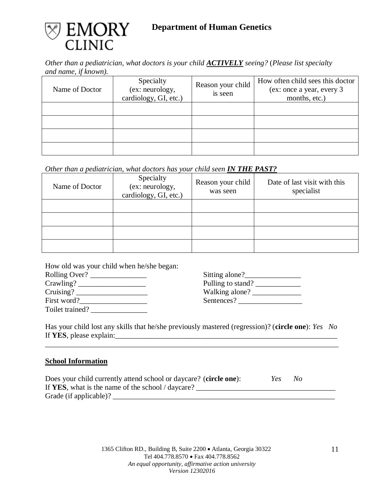

*Other than a pediatrician, what doctors is your child ACTIVELY seeing?* (*Please list specialty and name, if known).*

| Name of Doctor | Specialty<br>(ex: neurology,<br>cardiology, GI, etc.) | Reason your child<br>is seen | How often child sees this doctor<br>(ex: once a year, every 3<br>months, etc.) |
|----------------|-------------------------------------------------------|------------------------------|--------------------------------------------------------------------------------|
|                |                                                       |                              |                                                                                |
|                |                                                       |                              |                                                                                |
|                |                                                       |                              |                                                                                |
|                |                                                       |                              |                                                                                |

# *Other than a pediatrician, what doctors has your child seen <i>IN THE PAST?*

| Name of Doctor | Specialty<br>(ex: neurology,<br>cardiology, GI, etc.) | Reason your child<br>was seen | Date of last visit with this<br>specialist |
|----------------|-------------------------------------------------------|-------------------------------|--------------------------------------------|
|                |                                                       |                               |                                            |
|                |                                                       |                               |                                            |
|                |                                                       |                               |                                            |
|                |                                                       |                               |                                            |

How old was your child when he/she began:

| Rolling Over?   | Sitting alone?    |
|-----------------|-------------------|
| $C$ rawling?    | Pulling to stand? |
| Cruising?       | Walking alone?    |
| First word?     | Sentences?        |
| Toilet trained? |                   |

| Sitting alone?    |  |
|-------------------|--|
| Pulling to stand? |  |
| Walking alone?    |  |
| Sentences?        |  |

Has your child lost any skills that he/she previously mastered (regression)? (**circle one**): *Yes No* If **YES**, please explain:\_\_\_\_\_\_\_\_\_\_\_\_\_\_\_\_\_\_\_\_\_\_\_\_\_\_\_\_\_\_\_\_\_\_\_\_\_\_\_\_\_\_\_\_\_\_\_\_\_\_\_\_\_\_\_\_\_\_\_

\_\_\_\_\_\_\_\_\_\_\_\_\_\_\_\_\_\_\_\_\_\_\_\_\_\_\_\_\_\_\_\_\_\_\_\_\_\_\_\_\_\_\_\_\_\_\_\_\_\_\_\_\_\_\_\_\_\_\_\_\_\_\_\_\_\_\_\_\_\_\_\_\_\_\_\_\_\_

### **School Information**

| Does your child currently attend school or daycare? (circle one): | Yes. | No |
|-------------------------------------------------------------------|------|----|
| If YES, what is the name of the school / daycare?                 |      |    |
| Grade (if applicable)?                                            |      |    |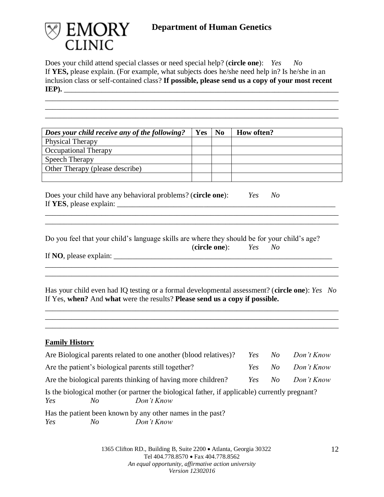

Does your child attend special classes or need special help? (**circle one**): *Yes No* If **YES,** please explain. (For example, what subjects does he/she need help in? Is he/she in an inclusion class or self-contained class? **If possible, please send us a copy of your most recent IEP**). \_\_\_\_\_\_\_\_\_\_\_\_\_\_\_\_\_\_\_\_\_\_\_\_\_\_\_\_\_\_\_\_\_\_\_\_\_\_\_\_\_\_\_\_\_\_\_\_\_\_\_\_\_\_\_\_\_\_\_\_\_\_\_\_\_\_\_\_\_\_\_\_\_\_\_\_\_\_

\_\_\_\_\_\_\_\_\_\_\_\_\_\_\_\_\_\_\_\_\_\_\_\_\_\_\_\_\_\_\_\_\_\_\_\_\_\_\_\_\_\_\_\_\_\_\_\_\_\_\_\_\_\_\_\_\_\_\_\_\_\_\_\_\_\_\_\_\_\_\_\_\_\_\_\_\_\_ \_\_\_\_\_\_\_\_\_\_\_\_\_\_\_\_\_\_\_\_\_\_\_\_\_\_\_\_\_\_\_\_\_\_\_\_\_\_\_\_\_\_\_\_\_\_\_\_\_\_\_\_\_\_\_\_\_\_\_\_\_\_\_\_\_\_\_\_\_\_\_\_\_\_\_\_\_\_

| Does your child receive any of the following? | <b>Yes</b> | N <sub>0</sub> | <b>How often?</b> |
|-----------------------------------------------|------------|----------------|-------------------|
| <b>Physical Therapy</b>                       |            |                |                   |
| <b>Occupational Therapy</b>                   |            |                |                   |
| Speech Therapy                                |            |                |                   |
| Other Therapy (please describe)               |            |                |                   |
|                                               |            |                |                   |

\_\_\_\_\_\_\_\_\_\_\_\_\_\_\_\_\_\_\_\_\_\_\_\_\_\_\_\_\_\_\_\_\_\_\_\_\_\_\_\_\_\_\_\_\_\_\_\_\_\_\_\_\_\_\_\_\_\_\_\_\_\_\_\_\_\_\_\_\_\_\_\_\_\_\_\_\_\_

Does your child have any behavioral problems? (**circle one**): *Yes No* If **YES**, please explain: \_\_\_\_\_\_\_\_\_\_\_\_\_\_\_\_\_\_\_\_\_\_\_\_\_\_\_\_\_\_\_\_\_\_\_\_\_\_\_\_\_\_\_\_\_\_\_\_\_\_\_\_\_\_\_\_\_\_

Do you feel that your child's language skills are where they should be for your child's age? (**circle one**): *Yes No*

| If NO, please explain: |  |
|------------------------|--|
|------------------------|--|

| Has your child even had IQ testing or a formal developmental assessment? (circle one): Yes No |  |
|-----------------------------------------------------------------------------------------------|--|
| If Yes, when? And what were the results? Please send us a copy if possible.                   |  |

\_\_\_\_\_\_\_\_\_\_\_\_\_\_\_\_\_\_\_\_\_\_\_\_\_\_\_\_\_\_\_\_\_\_\_\_\_\_\_\_\_\_\_\_\_\_\_\_\_\_\_\_\_\_\_\_\_\_\_\_\_\_\_\_\_\_\_\_\_\_\_\_\_\_\_\_\_\_ \_\_\_\_\_\_\_\_\_\_\_\_\_\_\_\_\_\_\_\_\_\_\_\_\_\_\_\_\_\_\_\_\_\_\_\_\_\_\_\_\_\_\_\_\_\_\_\_\_\_\_\_\_\_\_\_\_\_\_\_\_\_\_\_\_\_\_\_\_\_\_\_\_\_\_\_\_\_ \_\_\_\_\_\_\_\_\_\_\_\_\_\_\_\_\_\_\_\_\_\_\_\_\_\_\_\_\_\_\_\_\_\_\_\_\_\_\_\_\_\_\_\_\_\_\_\_\_\_\_\_\_\_\_\_\_\_\_\_\_\_\_\_\_\_\_\_\_\_\_\_\_\_\_\_\_\_

\_\_\_\_\_\_\_\_\_\_\_\_\_\_\_\_\_\_\_\_\_\_\_\_\_\_\_\_\_\_\_\_\_\_\_\_\_\_\_\_\_\_\_\_\_\_\_\_\_\_\_\_\_\_\_\_\_\_\_\_\_\_\_\_\_\_\_\_\_\_\_\_\_\_\_\_\_\_

# **Family History**

| Are Biological parents related to one another (blood relatives)? <i>Yes</i>                                               |     | No | Don't Know |
|---------------------------------------------------------------------------------------------------------------------------|-----|----|------------|
| Are the patient's biological parents still together?                                                                      | Yes | No | Don't Know |
| Are the biological parents thinking of having more children?                                                              | Yes | No | Don't Know |
| Is the biological mother (or partner the biological father, if applicable) currently pregnant?<br>Don't Know<br>Yes<br>No |     |    |            |
| Has the patient been known by any other names in the past?                                                                |     |    |            |

*Yes No Don't Know*

1365 Clifton RD., Building B, Suite 2200 • Atlanta, Georgia 30322 Tel 404.778.8570 • Fax 404.778.8562 *An equal opportunity, affirmative action university Version 12302016*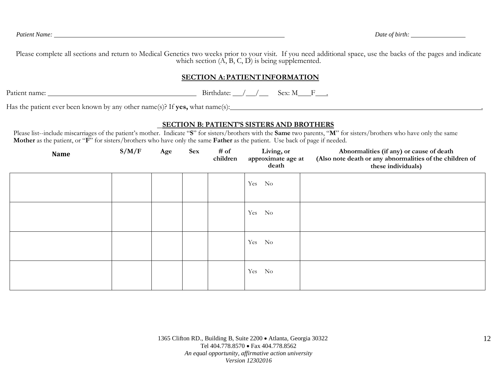Please complete all sections and return to Medical Genetics two weeks prior to your visit. If you need additional space, use the backs of the pages and indicate which section  $(A, B, C, D)$  is being supplemented.

### **SECTION A:PATIENTINFORMATION**

Patient name: Birthdate: / / Sex: M F .

Has the patient ever been known by any other name(s)? If **yes,** what name(s): .

### **SECTION B: PATIENT'S SISTERS AND BROTHERS**

Please list--include miscarriages of the patient's mother. Indicate "**S**" for sisters/brothers with the **Same** two parents, "**M**" for sisters/brothers who have only the same **Mother** as the patient, or "**F**" for sisters/brothers who have only the same **Father** as the patient. Use back of page if needed.

| <b>Name</b> | S/M/F | Age | <b>Sex</b> | # of<br>children | Living, or<br>approximate age at<br>death | Abnormalities (if any) or cause of death<br>(Also note death or any abnormalities of the children of<br>these individuals) |
|-------------|-------|-----|------------|------------------|-------------------------------------------|----------------------------------------------------------------------------------------------------------------------------|
|             |       |     |            |                  | Yes No                                    |                                                                                                                            |
|             |       |     |            |                  | Yes<br>N <sub>o</sub>                     |                                                                                                                            |
|             |       |     |            |                  | Yes<br>N <sub>o</sub>                     |                                                                                                                            |
|             |       |     |            |                  | Yes<br>No                                 |                                                                                                                            |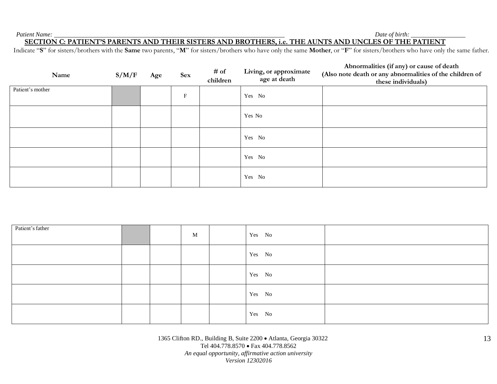*Patient Name: Date of birth:*

### **SECTION C: PATIENT'S PARENTS AND THEIR SISTERS AND BROTHERS, i.e. THE AUNTS AND UNCLES OF THE PATIENT**

Indicate "**S**" for sisters/brothers with the **Same** two parents, "**M**" for sisters/brothers who have only the same **Mother**, or "**F**" for sisters/brothers who have only the same father.

| Name             | S/M/F | Age | <b>Sex</b>                | # of<br>children | Living, or approximate<br>age at death | Abnormalities (if any) or cause of death<br>(Also note death or any abnormalities of the children of<br>these individuals) |
|------------------|-------|-----|---------------------------|------------------|----------------------------------------|----------------------------------------------------------------------------------------------------------------------------|
| Patient's mother |       |     | $\boldsymbol{\mathrm{F}}$ |                  | Yes No                                 |                                                                                                                            |
|                  |       |     |                           |                  |                                        |                                                                                                                            |
|                  |       |     |                           |                  | Yes No                                 |                                                                                                                            |
|                  |       |     |                           |                  | Yes No                                 |                                                                                                                            |
|                  |       |     |                           |                  | Yes No                                 |                                                                                                                            |
|                  |       |     |                           |                  | Yes No                                 |                                                                                                                            |

| Patient's father |  | $\mathbf{M}$ | Yes No |  |
|------------------|--|--------------|--------|--|
|                  |  |              | Yes No |  |
|                  |  |              | Yes No |  |
|                  |  |              | Yes No |  |
|                  |  |              | Yes No |  |